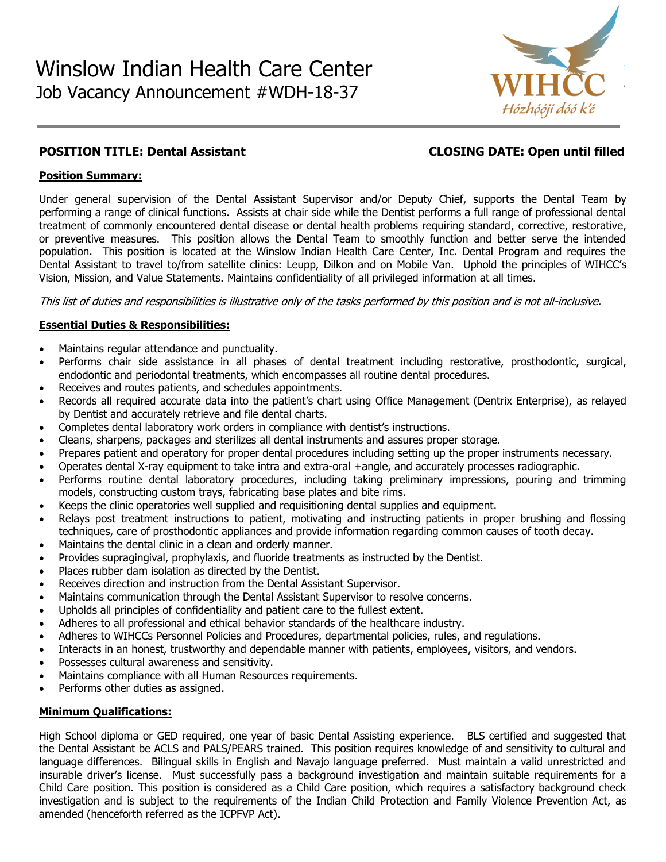

# **POSITION TITLE: Dental Assistant CLOSING DATE: Open until filled**

### **Position Summary:**

Under general supervision of the Dental Assistant Supervisor and/or Deputy Chief, supports the Dental Team by performing a range of clinical functions. Assists at chair side while the Dentist performs a full range of professional dental treatment of commonly encountered dental disease or dental health problems requiring standard, corrective, restorative, or preventive measures. This position allows the Dental Team to smoothly function and better serve the intended population. This position is located at the Winslow Indian Health Care Center, Inc. Dental Program and requires the Dental Assistant to travel to/from satellite clinics: Leupp, Dilkon and on Mobile Van. Uphold the principles of WIHCC's Vision, Mission, and Value Statements. Maintains confidentiality of all privileged information at all times.

This list of duties and responsibilities is illustrative only of the tasks performed by this position and is not all-inclusive.

### **Essential Duties & Responsibilities:**

- Maintains regular attendance and punctuality.
- Performs chair side assistance in all phases of dental treatment including restorative, prosthodontic, surgical, endodontic and periodontal treatments, which encompasses all routine dental procedures.
- Receives and routes patients, and schedules appointments.
- Records all required accurate data into the patient's chart using Office Management (Dentrix Enterprise), as relayed by Dentist and accurately retrieve and file dental charts.
- Completes dental laboratory work orders in compliance with dentist's instructions.
- Cleans, sharpens, packages and sterilizes all dental instruments and assures proper storage.
- Prepares patient and operatory for proper dental procedures including setting up the proper instruments necessary.
- Operates dental X-ray equipment to take intra and extra-oral +angle, and accurately processes radiographic.
- Performs routine dental laboratory procedures, including taking preliminary impressions, pouring and trimming models, constructing custom trays, fabricating base plates and bite rims.
- Keeps the clinic operatories well supplied and requisitioning dental supplies and equipment.
- Relays post treatment instructions to patient, motivating and instructing patients in proper brushing and flossing techniques, care of prosthodontic appliances and provide information regarding common causes of tooth decay.
- Maintains the dental clinic in a clean and orderly manner.
- Provides supragingival, prophylaxis, and fluoride treatments as instructed by the Dentist.
- Places rubber dam isolation as directed by the Dentist.
- Receives direction and instruction from the Dental Assistant Supervisor.
- Maintains communication through the Dental Assistant Supervisor to resolve concerns.
- Upholds all principles of confidentiality and patient care to the fullest extent.
- Adheres to all professional and ethical behavior standards of the healthcare industry.
- Adheres to WIHCCs Personnel Policies and Procedures, departmental policies, rules, and regulations.
- Interacts in an honest, trustworthy and dependable manner with patients, employees, visitors, and vendors.
- Possesses cultural awareness and sensitivity.
- Maintains compliance with all Human Resources requirements.
- Performs other duties as assigned.

### **Minimum Qualifications:**

High School diploma or GED required, one year of basic Dental Assisting experience. BLS certified and suggested that the Dental Assistant be ACLS and PALS/PEARS trained. This position requires knowledge of and sensitivity to cultural and language differences. Bilingual skills in English and Navajo language preferred. Must maintain a valid unrestricted and insurable driver's license. Must successfully pass a background investigation and maintain suitable requirements for a Child Care position. This position is considered as a Child Care position, which requires a satisfactory background check investigation and is subject to the requirements of the Indian Child Protection and Family Violence Prevention Act, as amended (henceforth referred as the ICPFVP Act).